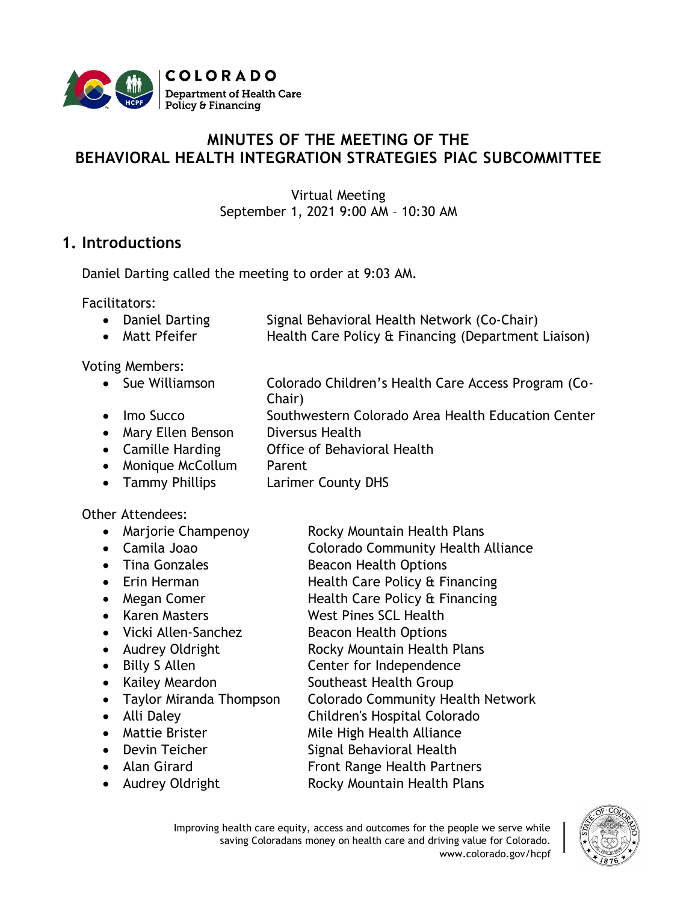

# **MINUTES OF THE MEETING OF THE BEHAVIORAL HEALTH INTEGRATION STRATEGIES PIAC SUBCOMMITTEE**

Virtual Meeting September 1, 2021 9:00 AM – 10:30 AM

### **1. Introductions**

Daniel Darting called the meeting to order at 9:03 AM.

Facilitators:

- Daniel Darting Signal Behavioral Health Network (Co-Chair)
- Matt Pfeifer Health Care Policy & Financing (Department Liaison)

Voting Members:

• Sue Williamson Colorado Children's Health Care Access Program (Co-

Chair)

- Imo Succo Southwestern Colorado Area Health Education Center
- Mary Ellen Benson Diversus Health
- Camille Harding **Office of Behavioral Health**
- Monique McCollum Parent
- Tammy Phillips Larimer County DHS

#### Other Attendees:

- Marjorie Champenoy Rocky Mountain Health Plans
- 
- 
- 
- 
- 
- 
- 
- 
- 
- 
- 
- -
- 
- 
- 
- Camila Joao **Colorado Community Health Alliance**
- Tina Gonzales Beacon Health Options
- Erin Herman Health Care Policy & Financing
- Megan Comer Health Care Policy & Financing
- Karen Masters West Pines SCL Health
- Vicki Allen-Sanchez Beacon Health Options
- Audrey Oldright Rocky Mountain Health Plans
- Billy S Allen **Center for Independence**
- Kailey Meardon Southeast Health Group
- Taylor Miranda Thompson Colorado Community Health Network
- Alli Daley Children's Hospital Colorado
- Mattie Brister Mile High Health Alliance
- Devin Teicher Signal Behavioral Health
- Alan Girard **Front Range Health Partners**
- Audrey Oldright Rocky Mountain Health Plans
	- Improving health care equity, access and outcomes for the people we serve while saving Coloradans money on health care and driving value for Colorado. www.colorado.gov/hcpf

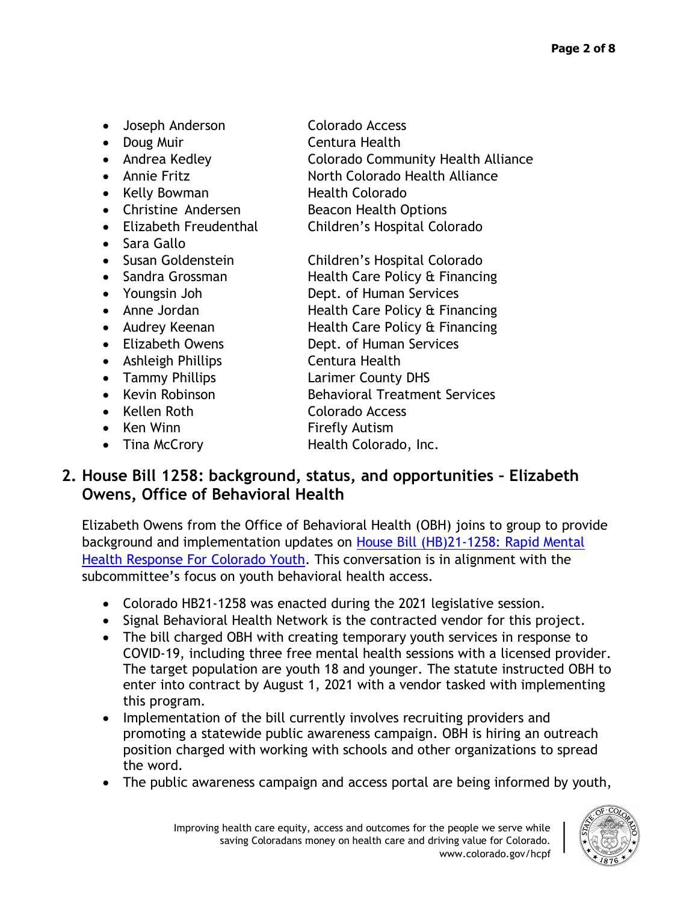• Doug Muir **Centura Health** • Andrea Kedley Colorado Community Health Alliance • Annie Fritz North Colorado Health Alliance • Kelly Bowman Health Colorado • Christine Andersen Beacon Health Options • Elizabeth Freudenthal Children's Hospital Colorado • Sara Gallo • Susan Goldenstein Children's Hospital Colorado • Sandra Grossman Health Care Policy & Financing • Youngsin Joh Dept. of Human Services • Anne Jordan Health Care Policy & Financing • Audrey Keenan **Health Care Policy & Financing** • Elizabeth Owens **Dept. of Human Services** • Ashleigh Phillips Centura Health • Tammy Phillips **Larimer County DHS** • Kevin Robinson Behavioral Treatment Services • Kellen Roth Colorado Access • Ken Winn Firefly Autism

• Joseph Anderson Colorado Access

**2. House Bill 1258: background, status, and opportunities – Elizabeth Owens, Office of Behavioral Health**

Elizabeth Owens from the Office of Behavioral Health (OBH) joins to group to provide background and implementation updates on House Bill (HB)21-1258: [Rapid Mental](https://leg.colorado.gov/bills/hb21-1258)  [Health Response For Colorado Youth.](https://leg.colorado.gov/bills/hb21-1258) This conversation is in alignment with the subcommittee's focus on youth behavioral health access.

- Colorado HB21-1258 was enacted during the 2021 legislative session.
- Signal Behavioral Health Network is the contracted vendor for this project.
- The bill charged OBH with creating temporary youth services in response to COVID-19, including three free mental health sessions with a licensed provider. The target population are youth 18 and younger. The statute instructed OBH to enter into contract by August 1, 2021 with a vendor tasked with implementing this program.
- Implementation of the bill currently involves recruiting providers and promoting a statewide public awareness campaign. OBH is hiring an outreach position charged with working with schools and other organizations to spread the word.
- The public awareness campaign and access portal are being informed by youth,



- 
- Tina McCrory **Health Colorado, Inc.**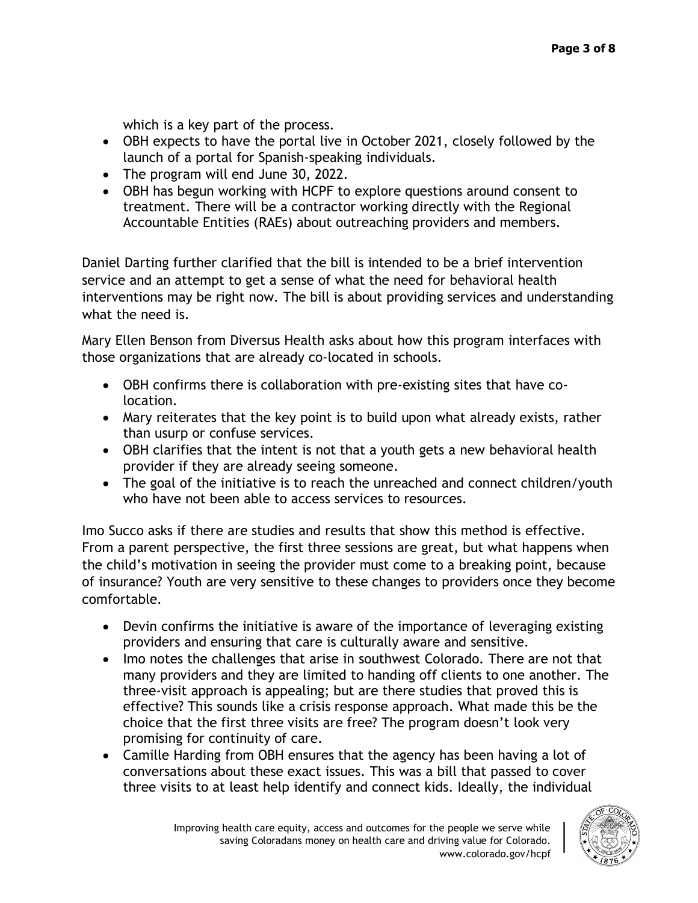which is a key part of the process.

- OBH expects to have the portal live in October 2021, closely followed by the launch of a portal for Spanish-speaking individuals.
- The program will end June 30, 2022.
- OBH has begun working with HCPF to explore questions around consent to treatment. There will be a contractor working directly with the Regional Accountable Entities (RAEs) about outreaching providers and members.

Daniel Darting further clarified that the bill is intended to be a brief intervention service and an attempt to get a sense of what the need for behavioral health interventions may be right now. The bill is about providing services and understanding what the need is.

Mary Ellen Benson from Diversus Health asks about how this program interfaces with those organizations that are already co-located in schools.

- OBH confirms there is collaboration with pre-existing sites that have colocation.
- Mary reiterates that the key point is to build upon what already exists, rather than usurp or confuse services.
- OBH clarifies that the intent is not that a youth gets a new behavioral health provider if they are already seeing someone.
- The goal of the initiative is to reach the unreached and connect children/youth who have not been able to access services to resources.

Imo Succo asks if there are studies and results that show this method is effective. From a parent perspective, the first three sessions are great, but what happens when the child's motivation in seeing the provider must come to a breaking point, because of insurance? Youth are very sensitive to these changes to providers once they become comfortable.

- Devin confirms the initiative is aware of the importance of leveraging existing providers and ensuring that care is culturally aware and sensitive.
- Imo notes the challenges that arise in southwest Colorado. There are not that many providers and they are limited to handing off clients to one another. The three-visit approach is appealing; but are there studies that proved this is effective? This sounds like a crisis response approach. What made this be the choice that the first three visits are free? The program doesn't look very promising for continuity of care.
- Camille Harding from OBH ensures that the agency has been having a lot of conversations about these exact issues. This was a bill that passed to cover three visits to at least help identify and connect kids. Ideally, the individual

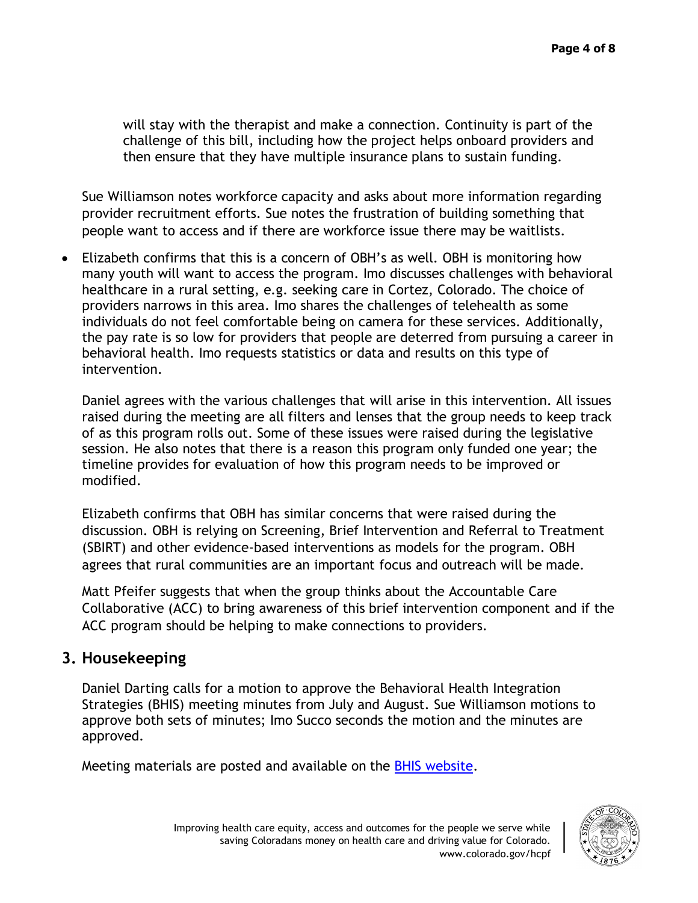will stay with the therapist and make a connection. Continuity is part of the challenge of this bill, including how the project helps onboard providers and then ensure that they have multiple insurance plans to sustain funding.

Sue Williamson notes workforce capacity and asks about more information regarding provider recruitment efforts. Sue notes the frustration of building something that people want to access and if there are workforce issue there may be waitlists.

• Elizabeth confirms that this is a concern of OBH's as well. OBH is monitoring how many youth will want to access the program. Imo discusses challenges with behavioral healthcare in a rural setting, e.g. seeking care in Cortez, Colorado. The choice of providers narrows in this area. Imo shares the challenges of telehealth as some individuals do not feel comfortable being on camera for these services. Additionally, the pay rate is so low for providers that people are deterred from pursuing a career in behavioral health. Imo requests statistics or data and results on this type of intervention.

Daniel agrees with the various challenges that will arise in this intervention. All issues raised during the meeting are all filters and lenses that the group needs to keep track of as this program rolls out. Some of these issues were raised during the legislative session. He also notes that there is a reason this program only funded one year; the timeline provides for evaluation of how this program needs to be improved or modified.

Elizabeth confirms that OBH has similar concerns that were raised during the discussion. OBH is relying on Screening, Brief Intervention and Referral to Treatment (SBIRT) and other evidence-based interventions as models for the program. OBH agrees that rural communities are an important focus and outreach will be made.

Matt Pfeifer suggests that when the group thinks about the Accountable Care Collaborative (ACC) to bring awareness of this brief intervention component and if the ACC program should be helping to make connections to providers.

## **3. Housekeeping**

Daniel Darting calls for a motion to approve the Behavioral Health Integration Strategies (BHIS) meeting minutes from July and August. Sue Williamson motions to approve both sets of minutes; Imo Succo seconds the motion and the minutes are approved.

Meeting materials are posted and available on the [BHIS website.](https://hcpf.colorado.gov/behavioral-health-and-integration-strategies-subcommittee)

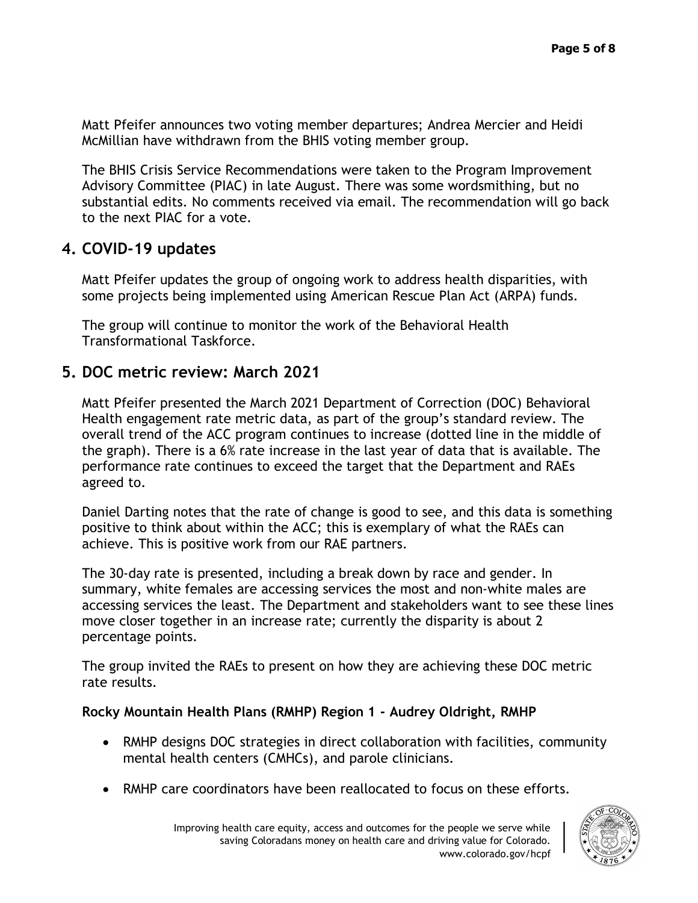Matt Pfeifer announces two voting member departures; Andrea Mercier and Heidi McMillian have withdrawn from the BHIS voting member group.

The BHIS Crisis Service Recommendations were taken to the Program Improvement Advisory Committee (PIAC) in late August. There was some wordsmithing, but no substantial edits. No comments received via email. The recommendation will go back to the next PIAC for a vote.

### **4. COVID-19 updates**

Matt Pfeifer updates the group of ongoing work to address health disparities, with some projects being implemented using American Rescue Plan Act (ARPA) funds.

The group will continue to monitor the work of the Behavioral Health Transformational Taskforce.

### **5. DOC metric review: March 2021**

Matt Pfeifer presented the March 2021 Department of Correction (DOC) Behavioral Health engagement rate metric data, as part of the group's standard review. The overall trend of the ACC program continues to increase (dotted line in the middle of the graph). There is a 6% rate increase in the last year of data that is available. The performance rate continues to exceed the target that the Department and RAEs agreed to.

Daniel Darting notes that the rate of change is good to see, and this data is something positive to think about within the ACC; this is exemplary of what the RAEs can achieve. This is positive work from our RAE partners.

The 30-day rate is presented, including a break down by race and gender. In summary, white females are accessing services the most and non-white males are accessing services the least. The Department and stakeholders want to see these lines move closer together in an increase rate; currently the disparity is about 2 percentage points.

The group invited the RAEs to present on how they are achieving these DOC metric rate results.

#### **Rocky Mountain Health Plans (RMHP) Region 1 - Audrey Oldright, RMHP**

- RMHP designs DOC strategies in direct collaboration with facilities, community mental health centers (CMHCs), and parole clinicians.
- RMHP care coordinators have been reallocated to focus on these efforts.

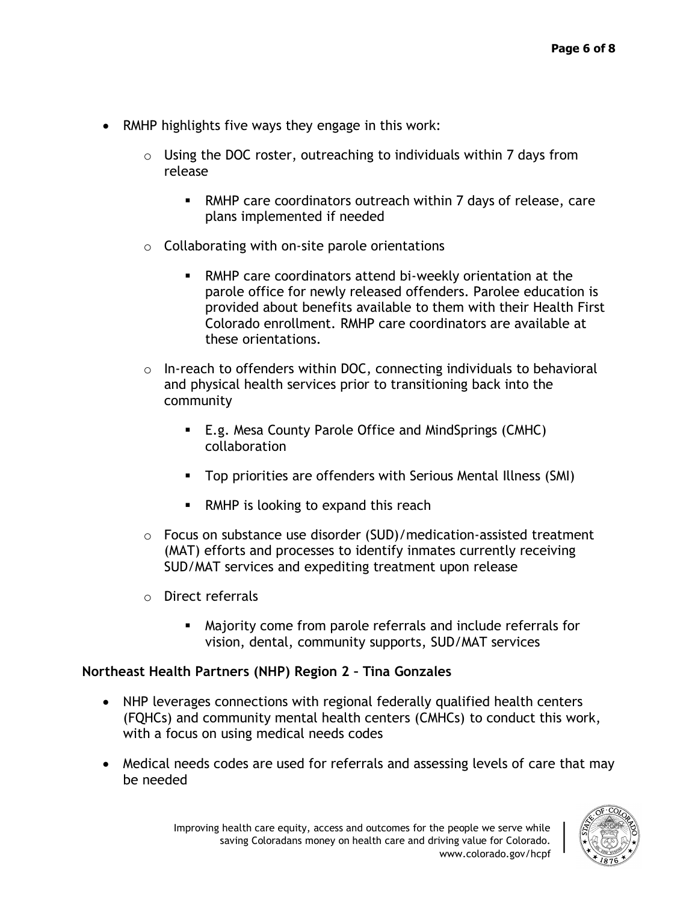- RMHP highlights five ways they engage in this work:
	- $\circ$  Using the DOC roster, outreaching to individuals within 7 days from release
		- RMHP care coordinators outreach within 7 days of release, care plans implemented if needed
	- $\circ$  Collaborating with on-site parole orientations
		- RMHP care coordinators attend bi-weekly orientation at the parole office for newly released offenders. Parolee education is provided about benefits available to them with their Health First Colorado enrollment. RMHP care coordinators are available at these orientations.
	- $\circ$  In-reach to offenders within DOC, connecting individuals to behavioral and physical health services prior to transitioning back into the community
		- E.g. Mesa County Parole Office and MindSprings (CMHC) collaboration
		- Top priorities are offenders with Serious Mental Illness (SMI)
		- RMHP is looking to expand this reach
	- $\circ$  Focus on substance use disorder (SUD)/medication-assisted treatment (MAT) efforts and processes to identify inmates currently receiving SUD/MAT services and expediting treatment upon release
	- o Direct referrals
		- Majority come from parole referrals and include referrals for vision, dental, community supports, SUD/MAT services

#### **Northeast Health Partners (NHP) Region 2 – Tina Gonzales**

- NHP leverages connections with regional federally qualified health centers (FQHCs) and community mental health centers (CMHCs) to conduct this work, with a focus on using medical needs codes
- Medical needs codes are used for referrals and assessing levels of care that may be needed

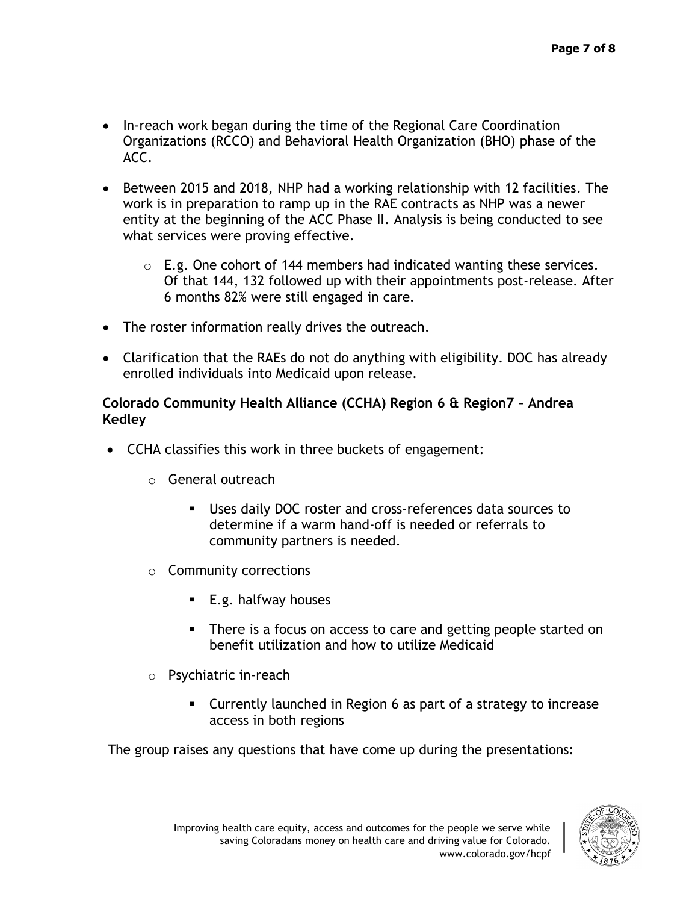- In-reach work began during the time of the Regional Care Coordination Organizations (RCCO) and Behavioral Health Organization (BHO) phase of the ACC.
- Between 2015 and 2018, NHP had a working relationship with 12 facilities. The work is in preparation to ramp up in the RAE contracts as NHP was a newer entity at the beginning of the ACC Phase II. Analysis is being conducted to see what services were proving effective.
	- $\circ$  E.g. One cohort of 144 members had indicated wanting these services. Of that 144, 132 followed up with their appointments post-release. After 6 months 82% were still engaged in care.
- The roster information really drives the outreach.
- Clarification that the RAEs do not do anything with eligibility. DOC has already enrolled individuals into Medicaid upon release.

#### **Colorado Community Health Alliance (CCHA) Region 6 & Region7 – Andrea Kedley**

- CCHA classifies this work in three buckets of engagement:
	- o General outreach
		- Uses daily DOC roster and cross-references data sources to determine if a warm hand-off is needed or referrals to community partners is needed.
	- o Community corrections
		- E.g. halfway houses
		- There is a focus on access to care and getting people started on benefit utilization and how to utilize Medicaid
	- o Psychiatric in-reach
		- Currently launched in Region 6 as part of a strategy to increase access in both regions

The group raises any questions that have come up during the presentations: